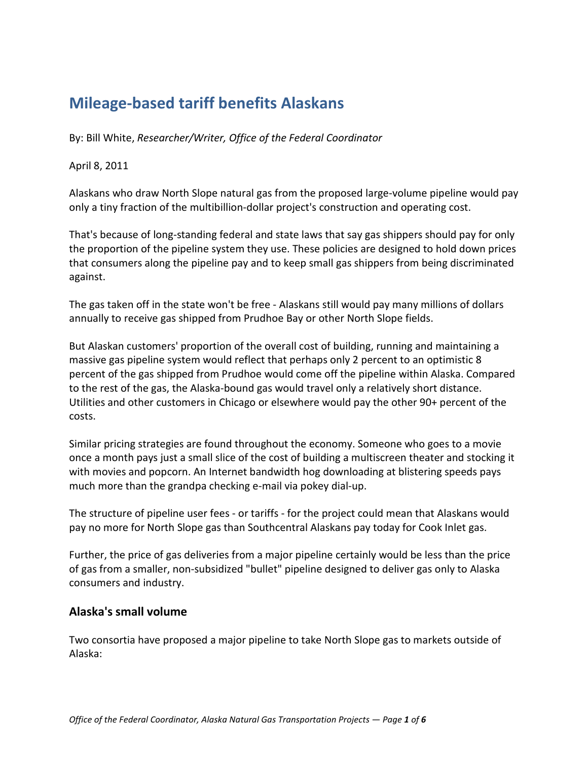# **Mileage-based tariff benefits Alaskans**

By: Bill White, *Researcher/Writer, Office of the Federal Coordinator*

#### April 8, 2011

Alaskans who draw North Slope natural gas from the proposed large-volume pipeline would pay only a tiny fraction of the multibillion-dollar project's construction and operating cost.

That's because of long-standing federal and state laws that say gas shippers should pay for only the proportion of the pipeline system they use. These policies are designed to hold down prices that consumers along the pipeline pay and to keep small gas shippers from being discriminated against.

The gas taken off in the state won't be free - Alaskans still would pay many millions of dollars annually to receive gas shipped from Prudhoe Bay or other North Slope fields.

But Alaskan customers' proportion of the overall cost of building, running and maintaining a massive gas pipeline system would reflect that perhaps only 2 percent to an optimistic 8 percent of the gas shipped from Prudhoe would come off the pipeline within Alaska. Compared to the rest of the gas, the Alaska-bound gas would travel only a relatively short distance. Utilities and other customers in Chicago or elsewhere would pay the other 90+ percent of the costs.

Similar pricing strategies are found throughout the economy. Someone who goes to a movie once a month pays just a small slice of the cost of building a multiscreen theater and stocking it with movies and popcorn. An Internet bandwidth hog downloading at blistering speeds pays much more than the grandpa checking e-mail via pokey dial-up.

The structure of pipeline user fees - or tariffs - for the project could mean that Alaskans would pay no more for North Slope gas than Southcentral Alaskans pay today for Cook Inlet gas.

Further, the price of gas deliveries from a major pipeline certainly would be less than the price of gas from a smaller, non-subsidized "bullet" pipeline designed to deliver gas only to Alaska consumers and industry.

#### **Alaska's small volume**

Two consortia have proposed a major pipeline to take North Slope gas to markets outside of Alaska: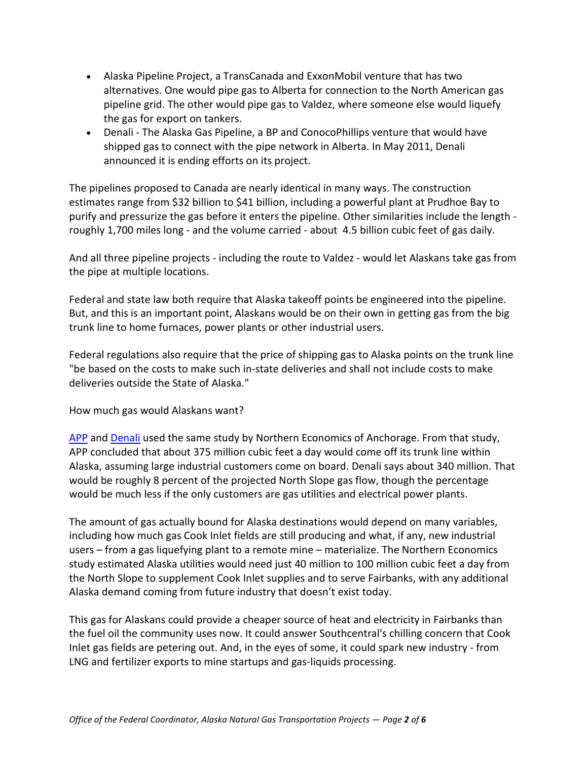- Alaska Pipeline Project, a TransCanada and ExxonMobil venture that has two alternatives. One would pipe gas to Alberta for connection to the North American gas pipeline grid. The other would pipe gas to Valdez, where someone else would liquefy the gas for export on tankers.
- Denali The Alaska Gas Pipeline, a BP and ConocoPhillips venture that would have shipped gas to connect with the pipe network in Alberta. In May 2011, Denali announced it is ending efforts on its project.

The pipelines proposed to Canada are nearly identical in many ways. The construction estimates range from \$32 billion to \$41 billion, including a powerful plant at Prudhoe Bay to purify and pressurize the gas before it enters the pipeline. Other similarities include the length roughly 1,700 miles long - and the volume carried - about 4.5 billion cubic feet of gas daily.

And all three pipeline projects - including the route to Valdez - would let Alaskans take gas from the pipe at multiple locations.

Federal and state law both require that Alaska takeoff points be engineered into the pipeline. But, and this is an important point, Alaskans would be on their own in getting gas from the big trunk line to home furnaces, power plants or other industrial users.

Federal regulations also require that the price of shipping gas to Alaska points on the trunk line "be based on the costs to make such in-state deliveries and shall not include costs to make deliveries outside the State of Alaska."

How much gas would Alaskans want?

[APP](http://www.arcticgas.gov/stakeholders/project-applicants/alaska-pipeline-project) and [Denali](http://www.arcticgas.gov/stakeholders/project-applicants/denali) used the same study by Northern Economics of Anchorage. From that study, APP concluded that about 375 million cubic feet a day would come off its trunk line within Alaska, assuming large industrial customers come on board. Denali says about 340 million. That would be roughly 8 percent of the projected North Slope gas flow, though the percentage would be much less if the only customers are gas utilities and electrical power plants.

The amount of gas actually bound for Alaska destinations would depend on many variables, including how much gas Cook Inlet fields are still producing and what, if any, new industrial users – from a gas liquefying plant to a remote mine – materialize. The Northern Economics study estimated Alaska utilities would need just 40 million to 100 million cubic feet a day from the North Slope to supplement Cook Inlet supplies and to serve Fairbanks, with any additional Alaska demand coming from future industry that doesn't exist today.

This gas for Alaskans could provide a cheaper source of heat and electricity in Fairbanks than the fuel oil the community uses now. It could answer Southcentral's chilling concern that Cook Inlet gas fields are petering out. And, in the eyes of some, it could spark new industry - from LNG and fertilizer exports to mine startups and gas-liquids processing.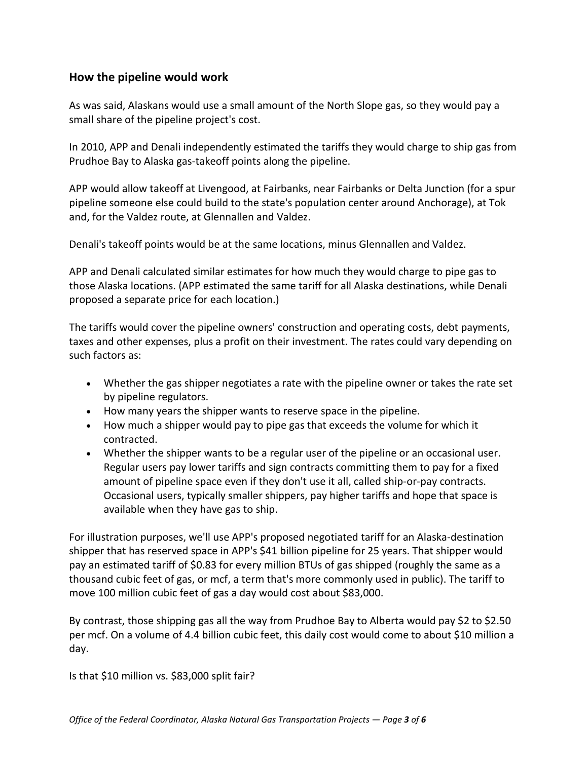### **How the pipeline would work**

As was said, Alaskans would use a small amount of the North Slope gas, so they would pay a small share of the pipeline project's cost.

In 2010, APP and Denali independently estimated the tariffs they would charge to ship gas from Prudhoe Bay to Alaska gas-takeoff points along the pipeline.

APP would allow takeoff at Livengood, at Fairbanks, near Fairbanks or Delta Junction (for a spur pipeline someone else could build to the state's population center around Anchorage), at Tok and, for the Valdez route, at Glennallen and Valdez.

Denali's takeoff points would be at the same locations, minus Glennallen and Valdez.

APP and Denali calculated similar estimates for how much they would charge to pipe gas to those Alaska locations. (APP estimated the same tariff for all Alaska destinations, while Denali proposed a separate price for each location.)

The tariffs would cover the pipeline owners' construction and operating costs, debt payments, taxes and other expenses, plus a profit on their investment. The rates could vary depending on such factors as:

- Whether the gas shipper negotiates a rate with the pipeline owner or takes the rate set by pipeline regulators.
- How many years the shipper wants to reserve space in the pipeline.
- How much a shipper would pay to pipe gas that exceeds the volume for which it contracted.
- Whether the shipper wants to be a regular user of the pipeline or an occasional user. Regular users pay lower tariffs and sign contracts committing them to pay for a fixed amount of pipeline space even if they don't use it all, called ship-or-pay contracts. Occasional users, typically smaller shippers, pay higher tariffs and hope that space is available when they have gas to ship.

For illustration purposes, we'll use APP's proposed negotiated tariff for an Alaska-destination shipper that has reserved space in APP's \$41 billion pipeline for 25 years. That shipper would pay an estimated tariff of \$0.83 for every million BTUs of gas shipped (roughly the same as a thousand cubic feet of gas, or mcf, a term that's more commonly used in public). The tariff to move 100 million cubic feet of gas a day would cost about \$83,000.

By contrast, those shipping gas all the way from Prudhoe Bay to Alberta would pay \$2 to \$2.50 per mcf. On a volume of 4.4 billion cubic feet, this daily cost would come to about \$10 million a day.

Is that \$10 million vs. \$83,000 split fair?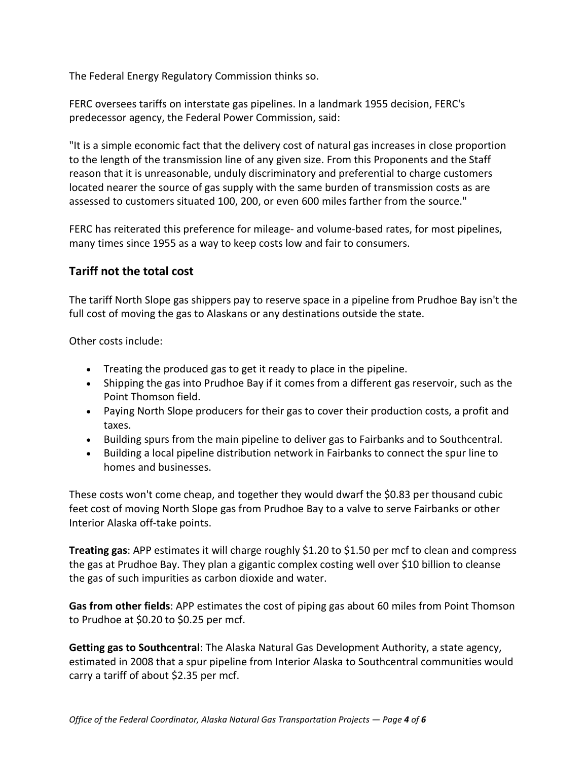The Federal Energy Regulatory Commission thinks so.

FERC oversees tariffs on interstate gas pipelines. In a landmark 1955 decision, FERC's predecessor agency, the Federal Power Commission, said:

"It is a simple economic fact that the delivery cost of natural gas increases in close proportion to the length of the transmission line of any given size. From this Proponents and the Staff reason that it is unreasonable, unduly discriminatory and preferential to charge customers located nearer the source of gas supply with the same burden of transmission costs as are assessed to customers situated 100, 200, or even 600 miles farther from the source."

FERC has reiterated this preference for mileage- and volume-based rates, for most pipelines, many times since 1955 as a way to keep costs low and fair to consumers.

### **Tariff not the total cost**

The tariff North Slope gas shippers pay to reserve space in a pipeline from Prudhoe Bay isn't the full cost of moving the gas to Alaskans or any destinations outside the state.

Other costs include:

- Treating the produced gas to get it ready to place in the pipeline.
- Shipping the gas into Prudhoe Bay if it comes from a different gas reservoir, such as the Point Thomson field.
- Paying North Slope producers for their gas to cover their production costs, a profit and taxes.
- Building spurs from the main pipeline to deliver gas to Fairbanks and to Southcentral.
- Building a local pipeline distribution network in Fairbanks to connect the spur line to homes and businesses.

These costs won't come cheap, and together they would dwarf the \$0.83 per thousand cubic feet cost of moving North Slope gas from Prudhoe Bay to a valve to serve Fairbanks or other Interior Alaska off-take points.

**Treating gas**: APP estimates it will charge roughly \$1.20 to \$1.50 per mcf to clean and compress the gas at Prudhoe Bay. They plan a gigantic complex costing well over \$10 billion to cleanse the gas of such impurities as carbon dioxide and water.

**Gas from other fields**: APP estimates the cost of piping gas about 60 miles from Point Thomson to Prudhoe at \$0.20 to \$0.25 per mcf.

**Getting gas to Southcentral**: The Alaska Natural Gas Development Authority, a state agency, estimated in 2008 that a spur pipeline from Interior Alaska to Southcentral communities would carry a tariff of about \$2.35 per mcf.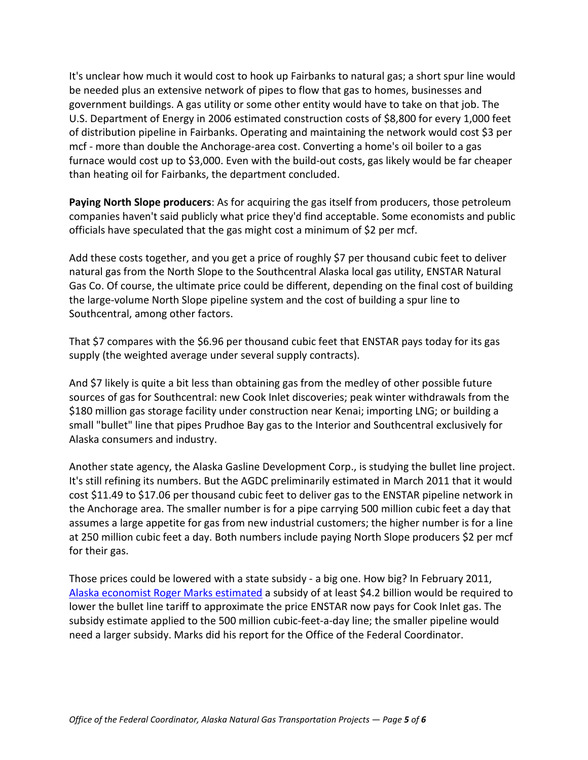It's unclear how much it would cost to hook up Fairbanks to natural gas; a short spur line would be needed plus an extensive network of pipes to flow that gas to homes, businesses and government buildings. A gas utility or some other entity would have to take on that job. The U.S. Department of Energy in 2006 estimated construction costs of \$8,800 for every 1,000 feet of distribution pipeline in Fairbanks. Operating and maintaining the network would cost \$3 per mcf - more than double the Anchorage-area cost. Converting a home's oil boiler to a gas furnace would cost up to \$3,000. Even with the build-out costs, gas likely would be far cheaper than heating oil for Fairbanks, the department concluded.

**Paying North Slope producers**: As for acquiring the gas itself from producers, those petroleum companies haven't said publicly what price they'd find acceptable. Some economists and public officials have speculated that the gas might cost a minimum of \$2 per mcf.

Add these costs together, and you get a price of roughly \$7 per thousand cubic feet to deliver natural gas from the North Slope to the Southcentral Alaska local gas utility, ENSTAR Natural Gas Co. Of course, the ultimate price could be different, depending on the final cost of building the large-volume North Slope pipeline system and the cost of building a spur line to Southcentral, among other factors.

That \$7 compares with the \$6.96 per thousand cubic feet that ENSTAR pays today for its gas supply (the weighted average under several supply contracts).

And \$7 likely is quite a bit less than obtaining gas from the medley of other possible future sources of gas for Southcentral: new Cook Inlet discoveries; peak winter withdrawals from the \$180 million gas storage facility under construction near Kenai; importing LNG; or building a small "bullet" line that pipes Prudhoe Bay gas to the Interior and Southcentral exclusively for Alaska consumers and industry.

Another state agency, the Alaska Gasline Development Corp., is studying the bullet line project. It's still refining its numbers. But the AGDC preliminarily estimated in March 2011 that it would cost \$11.49 to \$17.06 per thousand cubic feet to deliver gas to the ENSTAR pipeline network in the Anchorage area. The smaller number is for a pipe carrying 500 million cubic feet a day that assumes a large appetite for gas from new industrial customers; the higher number is for a line at 250 million cubic feet a day. Both numbers include paying North Slope producers \$2 per mcf for their gas.

Those prices could be lowered with a state subsidy - a big one. How big? In February 2011, [Alaska economist Roger Marks estimated](http://www.arcticgas.gov/node/450) a subsidy of at least \$4.2 billion would be required to lower the bullet line tariff to approximate the price ENSTAR now pays for Cook Inlet gas. The subsidy estimate applied to the 500 million cubic-feet-a-day line; the smaller pipeline would need a larger subsidy. Marks did his report for the Office of the Federal Coordinator.